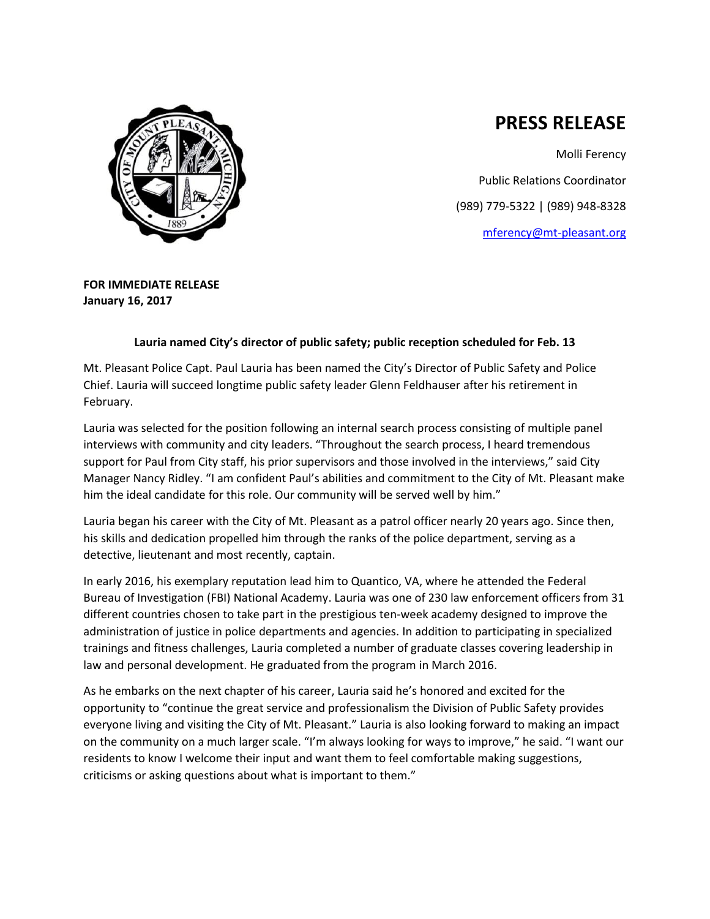

## **PRESS RELEASE**

Molli Ferency Public Relations Coordinator (989) 779-5322 | (989) 948-8328 [mferency@mt-pleasant.org](mailto:mferency@mt-pleasant.org)

**FOR IMMEDIATE RELEASE January 16, 2017**

## **Lauria named City's director of public safety; public reception scheduled for Feb. 13**

Mt. Pleasant Police Capt. Paul Lauria has been named the City's Director of Public Safety and Police Chief. Lauria will succeed longtime public safety leader Glenn Feldhauser after his retirement in February.

Lauria was selected for the position following an internal search process consisting of multiple panel interviews with community and city leaders. "Throughout the search process, I heard tremendous support for Paul from City staff, his prior supervisors and those involved in the interviews," said City Manager Nancy Ridley. "I am confident Paul's abilities and commitment to the City of Mt. Pleasant make him the ideal candidate for this role. Our community will be served well by him."

Lauria began his career with the City of Mt. Pleasant as a patrol officer nearly 20 years ago. Since then, his skills and dedication propelled him through the ranks of the police department, serving as a detective, lieutenant and most recently, captain.

In early 2016, his exemplary reputation lead him to Quantico, VA, where he attended the Federal Bureau of Investigation (FBI) National Academy. Lauria was one of 230 law enforcement officers from 31 different countries chosen to take part in the prestigious ten-week academy designed to improve the administration of justice in police departments and agencies. In addition to participating in specialized trainings and fitness challenges, Lauria completed a number of graduate classes covering leadership in law and personal development. He graduated from the program in March 2016.

As he embarks on the next chapter of his career, Lauria said he's honored and excited for the opportunity to "continue the great service and professionalism the Division of Public Safety provides everyone living and visiting the City of Mt. Pleasant." Lauria is also looking forward to making an impact on the community on a much larger scale. "I'm always looking for ways to improve," he said. "I want our residents to know I welcome their input and want them to feel comfortable making suggestions, criticisms or asking questions about what is important to them."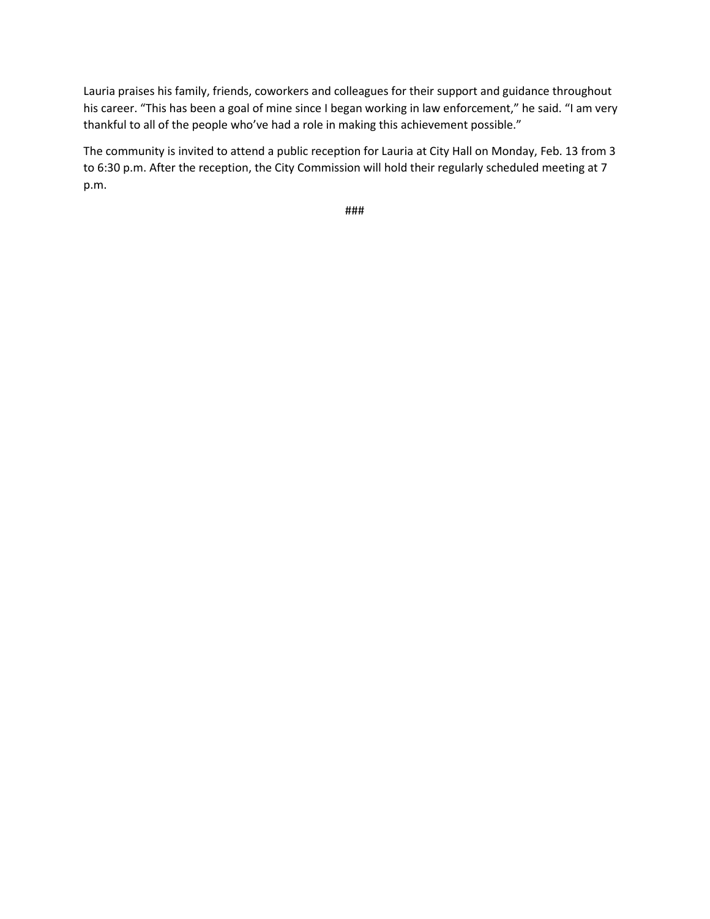Lauria praises his family, friends, coworkers and colleagues for their support and guidance throughout his career. "This has been a goal of mine since I began working in law enforcement," he said. "I am very thankful to all of the people who've had a role in making this achievement possible."

The community is invited to attend a public reception for Lauria at City Hall on Monday, Feb. 13 from 3 to 6:30 p.m. After the reception, the City Commission will hold their regularly scheduled meeting at 7 p.m.

###